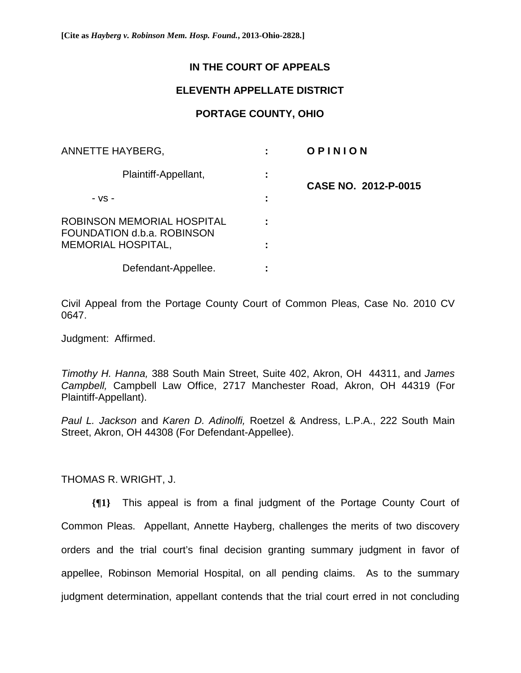# **IN THE COURT OF APPEALS**

## **ELEVENTH APPELLATE DISTRICT**

## **PORTAGE COUNTY, OHIO**

| ANNETTE HAYBERG,                                         |   | OPINION              |
|----------------------------------------------------------|---|----------------------|
| Plaintiff-Appellant,                                     | ÷ | CASE NO. 2012-P-0015 |
| - VS -                                                   |   |                      |
| ROBINSON MEMORIAL HOSPITAL<br>FOUNDATION d.b.a. ROBINSON |   |                      |
| <b>MEMORIAL HOSPITAL,</b>                                |   |                      |
| Defendant-Appellee.                                      |   |                      |

Civil Appeal from the Portage County Court of Common Pleas, Case No. 2010 CV 0647.

Judgment: Affirmed.

*Timothy H. Hanna,* 388 South Main Street, Suite 402, Akron, OH 44311, and *James Campbell,* Campbell Law Office, 2717 Manchester Road, Akron, OH 44319 (For Plaintiff-Appellant).

*Paul L. Jackson* and *Karen D. Adinolfi,* Roetzel & Andress, L.P.A., 222 South Main Street, Akron, OH 44308 (For Defendant-Appellee).

THOMAS R. WRIGHT, J.

**{¶1}** This appeal is from a final judgment of the Portage County Court of Common Pleas. Appellant, Annette Hayberg, challenges the merits of two discovery orders and the trial court's final decision granting summary judgment in favor of appellee, Robinson Memorial Hospital, on all pending claims. As to the summary judgment determination, appellant contends that the trial court erred in not concluding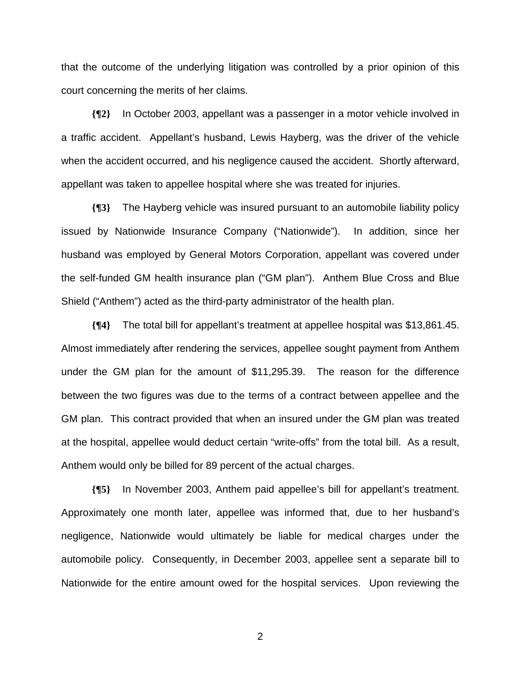that the outcome of the underlying litigation was controlled by a prior opinion of this court concerning the merits of her claims.

**{¶2}** In October 2003, appellant was a passenger in a motor vehicle involved in a traffic accident. Appellant's husband, Lewis Hayberg, was the driver of the vehicle when the accident occurred, and his negligence caused the accident. Shortly afterward, appellant was taken to appellee hospital where she was treated for injuries.

**{¶3}** The Hayberg vehicle was insured pursuant to an automobile liability policy issued by Nationwide Insurance Company ("Nationwide"). In addition, since her husband was employed by General Motors Corporation, appellant was covered under the self-funded GM health insurance plan ("GM plan"). Anthem Blue Cross and Blue Shield ("Anthem") acted as the third-party administrator of the health plan.

**{¶4}** The total bill for appellant's treatment at appellee hospital was \$13,861.45. Almost immediately after rendering the services, appellee sought payment from Anthem under the GM plan for the amount of \$11,295.39. The reason for the difference between the two figures was due to the terms of a contract between appellee and the GM plan. This contract provided that when an insured under the GM plan was treated at the hospital, appellee would deduct certain "write-offs" from the total bill. As a result, Anthem would only be billed for 89 percent of the actual charges.

**{¶5}** In November 2003, Anthem paid appellee's bill for appellant's treatment. Approximately one month later, appellee was informed that, due to her husband's negligence, Nationwide would ultimately be liable for medical charges under the automobile policy. Consequently, in December 2003, appellee sent a separate bill to Nationwide for the entire amount owed for the hospital services. Upon reviewing the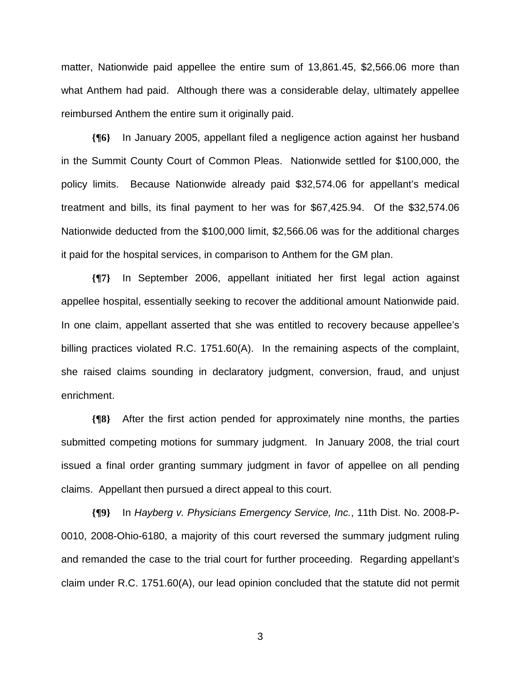matter, Nationwide paid appellee the entire sum of 13,861.45, \$2,566.06 more than what Anthem had paid. Although there was a considerable delay, ultimately appellee reimbursed Anthem the entire sum it originally paid.

**{¶6}** In January 2005, appellant filed a negligence action against her husband in the Summit County Court of Common Pleas. Nationwide settled for \$100,000, the policy limits. Because Nationwide already paid \$32,574.06 for appellant's medical treatment and bills, its final payment to her was for \$67,425.94. Of the \$32,574.06 Nationwide deducted from the \$100,000 limit, \$2,566.06 was for the additional charges it paid for the hospital services, in comparison to Anthem for the GM plan.

**{¶7}** In September 2006, appellant initiated her first legal action against appellee hospital, essentially seeking to recover the additional amount Nationwide paid. In one claim, appellant asserted that she was entitled to recovery because appellee's billing practices violated R.C. 1751.60(A). In the remaining aspects of the complaint, she raised claims sounding in declaratory judgment, conversion, fraud, and unjust enrichment.

**{¶8}** After the first action pended for approximately nine months, the parties submitted competing motions for summary judgment. In January 2008, the trial court issued a final order granting summary judgment in favor of appellee on all pending claims. Appellant then pursued a direct appeal to this court.

**{¶9}** In *Hayberg v. Physicians Emergency Service, Inc.*, 11th Dist. No. 2008-P-0010, 2008-Ohio-6180, a majority of this court reversed the summary judgment ruling and remanded the case to the trial court for further proceeding. Regarding appellant's claim under R.C. 1751.60(A), our lead opinion concluded that the statute did not permit

 $\sim$  3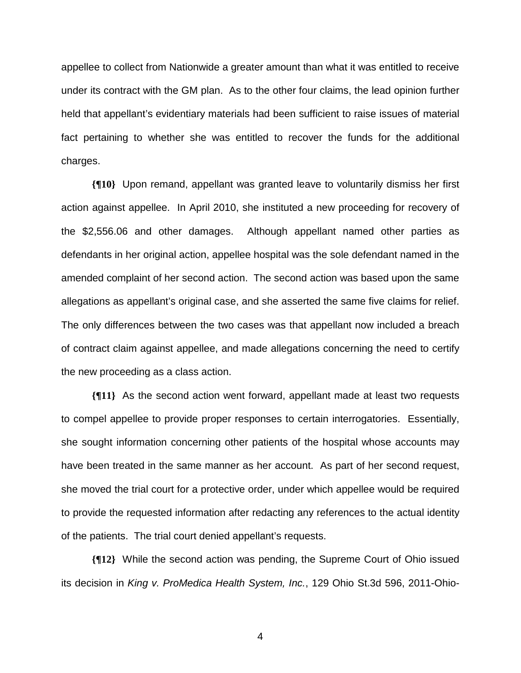appellee to collect from Nationwide a greater amount than what it was entitled to receive under its contract with the GM plan. As to the other four claims, the lead opinion further held that appellant's evidentiary materials had been sufficient to raise issues of material fact pertaining to whether she was entitled to recover the funds for the additional charges.

**{¶10}** Upon remand, appellant was granted leave to voluntarily dismiss her first action against appellee. In April 2010, she instituted a new proceeding for recovery of the \$2,556.06 and other damages. Although appellant named other parties as defendants in her original action, appellee hospital was the sole defendant named in the amended complaint of her second action. The second action was based upon the same allegations as appellant's original case, and she asserted the same five claims for relief. The only differences between the two cases was that appellant now included a breach of contract claim against appellee, and made allegations concerning the need to certify the new proceeding as a class action.

**{¶11}** As the second action went forward, appellant made at least two requests to compel appellee to provide proper responses to certain interrogatories. Essentially, she sought information concerning other patients of the hospital whose accounts may have been treated in the same manner as her account. As part of her second request, she moved the trial court for a protective order, under which appellee would be required to provide the requested information after redacting any references to the actual identity of the patients. The trial court denied appellant's requests.

**{¶12}** While the second action was pending, the Supreme Court of Ohio issued its decision in *King v. ProMedica Health System, Inc.*, 129 Ohio St.3d 596, 2011-Ohio-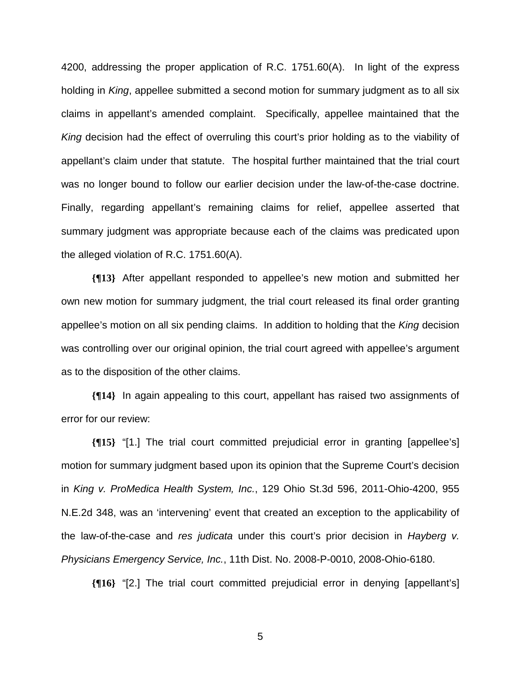4200, addressing the proper application of R.C. 1751.60(A). In light of the express holding in *King*, appellee submitted a second motion for summary judgment as to all six claims in appellant's amended complaint. Specifically, appellee maintained that the *King* decision had the effect of overruling this court's prior holding as to the viability of appellant's claim under that statute. The hospital further maintained that the trial court was no longer bound to follow our earlier decision under the law-of-the-case doctrine. Finally, regarding appellant's remaining claims for relief, appellee asserted that summary judgment was appropriate because each of the claims was predicated upon the alleged violation of R.C. 1751.60(A).

**{¶13}** After appellant responded to appellee's new motion and submitted her own new motion for summary judgment, the trial court released its final order granting appellee's motion on all six pending claims. In addition to holding that the *King* decision was controlling over our original opinion, the trial court agreed with appellee's argument as to the disposition of the other claims.

**{¶14}** In again appealing to this court, appellant has raised two assignments of error for our review:

**{¶15}** "[1.] The trial court committed prejudicial error in granting [appellee's] motion for summary judgment based upon its opinion that the Supreme Court's decision in *King v. ProMedica Health System, Inc.*, 129 Ohio St.3d 596, 2011-Ohio-4200, 955 N.E.2d 348, was an 'intervening' event that created an exception to the applicability of the law-of-the-case and *res judicata* under this court's prior decision in *Hayberg v. Physicians Emergency Service, Inc.*, 11th Dist. No. 2008-P-0010, 2008-Ohio-6180.

**{¶16}** "[2.] The trial court committed prejudicial error in denying [appellant's]

 $\sim$  5  $\sim$  5  $\sim$  5  $\sim$  5  $\sim$  5  $\sim$  5  $\sim$  5  $\sim$  5  $\sim$  5  $\sim$  5  $\sim$  5  $\sim$  5  $\sim$  5  $\sim$  5  $\sim$  5  $\sim$  5  $\sim$  5  $\sim$  5  $\sim$  5  $\sim$  5  $\sim$  5  $\sim$  5  $\sim$  5  $\sim$  5  $\sim$  5  $\sim$  5  $\sim$  5  $\sim$  5  $\sim$  5  $\sim$  5  $\sim$  5  $\sim$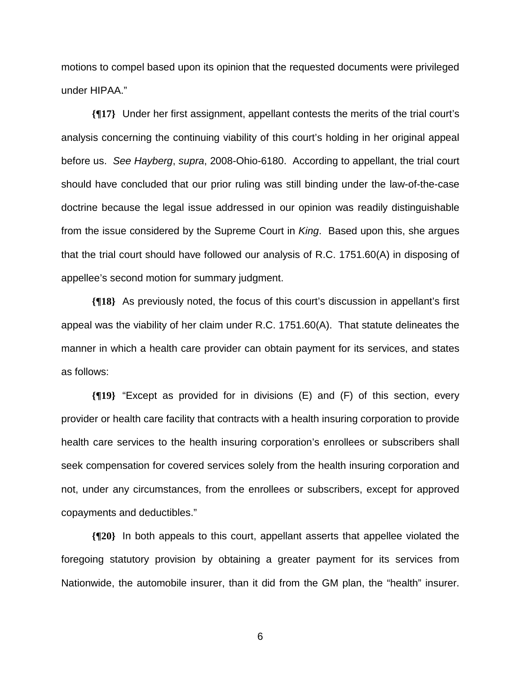motions to compel based upon its opinion that the requested documents were privileged under HIPAA."

**{¶17}** Under her first assignment, appellant contests the merits of the trial court's analysis concerning the continuing viability of this court's holding in her original appeal before us. *See Hayberg*, *supra*, 2008-Ohio-6180. According to appellant, the trial court should have concluded that our prior ruling was still binding under the law-of-the-case doctrine because the legal issue addressed in our opinion was readily distinguishable from the issue considered by the Supreme Court in *King*. Based upon this, she argues that the trial court should have followed our analysis of R.C. 1751.60(A) in disposing of appellee's second motion for summary judgment.

**{¶18}** As previously noted, the focus of this court's discussion in appellant's first appeal was the viability of her claim under R.C. 1751.60(A). That statute delineates the manner in which a health care provider can obtain payment for its services, and states as follows:

**{¶19}** "Except as provided for in divisions (E) and (F) of this section, every provider or health care facility that contracts with a health insuring corporation to provide health care services to the health insuring corporation's enrollees or subscribers shall seek compensation for covered services solely from the health insuring corporation and not, under any circumstances, from the enrollees or subscribers, except for approved copayments and deductibles."

**{¶20}** In both appeals to this court, appellant asserts that appellee violated the foregoing statutory provision by obtaining a greater payment for its services from Nationwide, the automobile insurer, than it did from the GM plan, the "health" insurer.

 $\sim$  600  $\sim$  600  $\sim$  600  $\sim$  600  $\sim$  600  $\sim$  600  $\sim$  600  $\sim$  600  $\sim$  600  $\sim$  600  $\sim$  600  $\sim$  600  $\sim$  600  $\sim$  600  $\sim$  600  $\sim$  600  $\sim$  600  $\sim$  600  $\sim$  600  $\sim$  600  $\sim$  600  $\sim$  600  $\sim$  600  $\sim$  600  $\sim$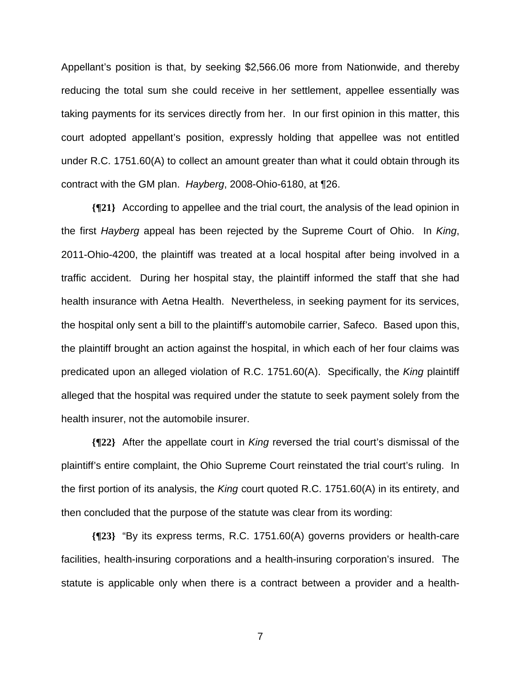Appellant's position is that, by seeking \$2,566.06 more from Nationwide, and thereby reducing the total sum she could receive in her settlement, appellee essentially was taking payments for its services directly from her. In our first opinion in this matter, this court adopted appellant's position, expressly holding that appellee was not entitled under R.C. 1751.60(A) to collect an amount greater than what it could obtain through its contract with the GM plan. *Hayberg*, 2008-Ohio-6180, at ¶26.

**{¶21}** According to appellee and the trial court, the analysis of the lead opinion in the first *Hayberg* appeal has been rejected by the Supreme Court of Ohio. In *King*, 2011-Ohio-4200, the plaintiff was treated at a local hospital after being involved in a traffic accident. During her hospital stay, the plaintiff informed the staff that she had health insurance with Aetna Health. Nevertheless, in seeking payment for its services, the hospital only sent a bill to the plaintiff's automobile carrier, Safeco. Based upon this, the plaintiff brought an action against the hospital, in which each of her four claims was predicated upon an alleged violation of R.C. 1751.60(A). Specifically, the *King* plaintiff alleged that the hospital was required under the statute to seek payment solely from the health insurer, not the automobile insurer.

**{¶22}** After the appellate court in *King* reversed the trial court's dismissal of the plaintiff's entire complaint, the Ohio Supreme Court reinstated the trial court's ruling. In the first portion of its analysis, the *King* court quoted R.C. 1751.60(A) in its entirety, and then concluded that the purpose of the statute was clear from its wording:

**{¶23}** "By its express terms, R.C. 1751.60(A) governs providers or health-care facilities, health-insuring corporations and a health-insuring corporation's insured. The statute is applicable only when there is a contract between a provider and a health-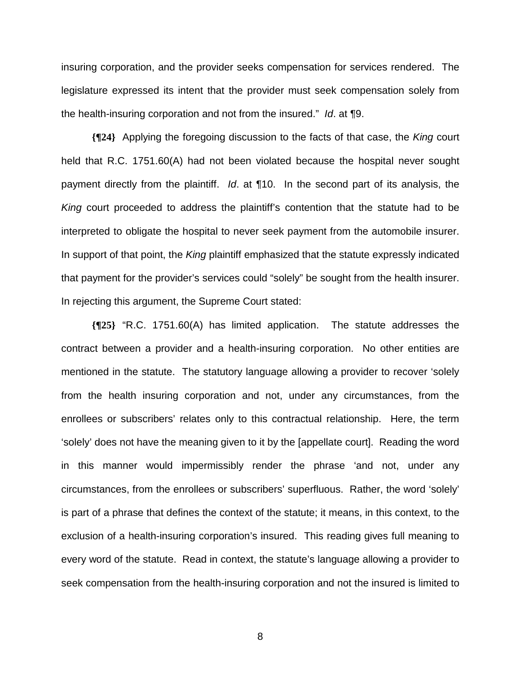insuring corporation, and the provider seeks compensation for services rendered. The legislature expressed its intent that the provider must seek compensation solely from the health-insuring corporation and not from the insured." *Id*. at ¶9.

**{¶24}** Applying the foregoing discussion to the facts of that case, the *King* court held that R.C. 1751.60(A) had not been violated because the hospital never sought payment directly from the plaintiff. *Id*. at ¶10. In the second part of its analysis, the *King* court proceeded to address the plaintiff's contention that the statute had to be interpreted to obligate the hospital to never seek payment from the automobile insurer. In support of that point, the *King* plaintiff emphasized that the statute expressly indicated that payment for the provider's services could "solely" be sought from the health insurer. In rejecting this argument, the Supreme Court stated:

**{¶25}** "R.C. 1751.60(A) has limited application. The statute addresses the contract between a provider and a health-insuring corporation. No other entities are mentioned in the statute. The statutory language allowing a provider to recover 'solely from the health insuring corporation and not, under any circumstances, from the enrollees or subscribers' relates only to this contractual relationship. Here, the term 'solely' does not have the meaning given to it by the [appellate court]. Reading the word in this manner would impermissibly render the phrase 'and not, under any circumstances, from the enrollees or subscribers' superfluous. Rather, the word 'solely' is part of a phrase that defines the context of the statute; it means, in this context, to the exclusion of a health-insuring corporation's insured. This reading gives full meaning to every word of the statute. Read in context, the statute's language allowing a provider to seek compensation from the health-insuring corporation and not the insured is limited to

en andere de la provincia de la provincia de la provincia de la provincia de la provincia de la provincia del<br>En 1888, en 1888, en 1888, en 1888, en 1888, en 1888, en 1888, en 1888, en 1888, en 1888, en 1888, en 1888, en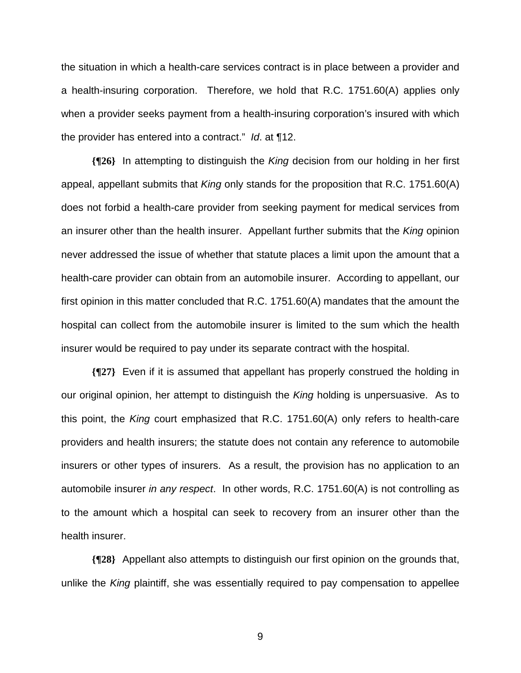the situation in which a health-care services contract is in place between a provider and a health-insuring corporation. Therefore, we hold that R.C. 1751.60(A) applies only when a provider seeks payment from a health-insuring corporation's insured with which the provider has entered into a contract." *Id*. at ¶12.

**{¶26}** In attempting to distinguish the *King* decision from our holding in her first appeal, appellant submits that *King* only stands for the proposition that R.C. 1751.60(A) does not forbid a health-care provider from seeking payment for medical services from an insurer other than the health insurer. Appellant further submits that the *King* opinion never addressed the issue of whether that statute places a limit upon the amount that a health-care provider can obtain from an automobile insurer. According to appellant, our first opinion in this matter concluded that R.C. 1751.60(A) mandates that the amount the hospital can collect from the automobile insurer is limited to the sum which the health insurer would be required to pay under its separate contract with the hospital.

**{¶27}** Even if it is assumed that appellant has properly construed the holding in our original opinion, her attempt to distinguish the *King* holding is unpersuasive. As to this point, the *King* court emphasized that R.C. 1751.60(A) only refers to health-care providers and health insurers; the statute does not contain any reference to automobile insurers or other types of insurers. As a result, the provision has no application to an automobile insurer *in any respect*. In other words, R.C. 1751.60(A) is not controlling as to the amount which a hospital can seek to recovery from an insurer other than the health insurer.

**{¶28}** Appellant also attempts to distinguish our first opinion on the grounds that, unlike the *King* plaintiff, she was essentially required to pay compensation to appellee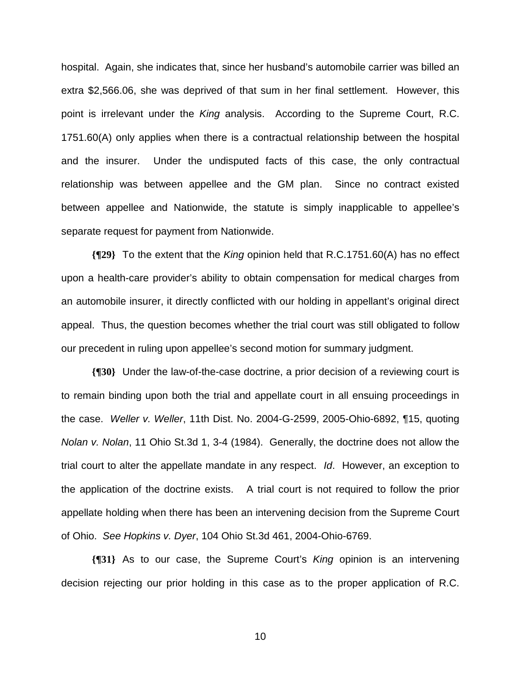hospital. Again, she indicates that, since her husband's automobile carrier was billed an extra \$2,566.06, she was deprived of that sum in her final settlement. However, this point is irrelevant under the *King* analysis. According to the Supreme Court, R.C. 1751.60(A) only applies when there is a contractual relationship between the hospital and the insurer. Under the undisputed facts of this case, the only contractual relationship was between appellee and the GM plan. Since no contract existed between appellee and Nationwide, the statute is simply inapplicable to appellee's separate request for payment from Nationwide.

**{¶29}** To the extent that the *King* opinion held that R.C.1751.60(A) has no effect upon a health-care provider's ability to obtain compensation for medical charges from an automobile insurer, it directly conflicted with our holding in appellant's original direct appeal. Thus, the question becomes whether the trial court was still obligated to follow our precedent in ruling upon appellee's second motion for summary judgment.

**{¶30}** Under the law-of-the-case doctrine, a prior decision of a reviewing court is to remain binding upon both the trial and appellate court in all ensuing proceedings in the case. *Weller v. Weller*, 11th Dist. No. 2004-G-2599, 2005-Ohio-6892, ¶15, quoting *Nolan v. Nolan*, 11 Ohio St.3d 1, 3-4 (1984). Generally, the doctrine does not allow the trial court to alter the appellate mandate in any respect. *Id*. However, an exception to the application of the doctrine exists. A trial court is not required to follow the prior appellate holding when there has been an intervening decision from the Supreme Court of Ohio. *See Hopkins v. Dyer*, 104 Ohio St.3d 461, 2004-Ohio-6769.

**{¶31}** As to our case, the Supreme Court's *King* opinion is an intervening decision rejecting our prior holding in this case as to the proper application of R.C.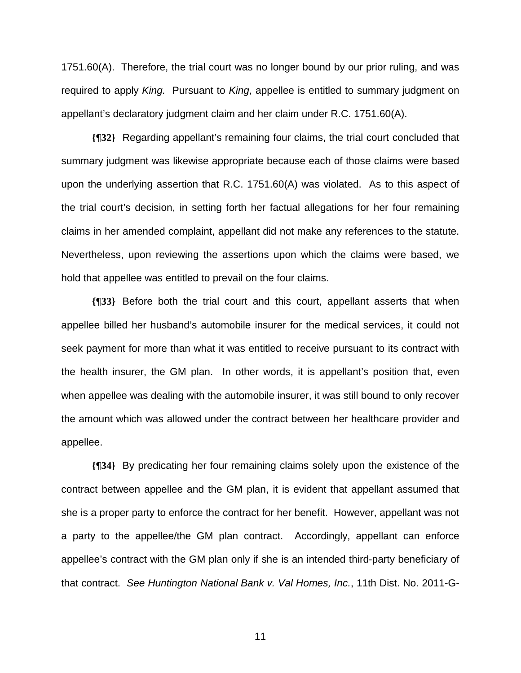1751.60(A). Therefore, the trial court was no longer bound by our prior ruling, and was required to apply *King.* Pursuant to *King*, appellee is entitled to summary judgment on appellant's declaratory judgment claim and her claim under R.C. 1751.60(A).

**{¶32}** Regarding appellant's remaining four claims, the trial court concluded that summary judgment was likewise appropriate because each of those claims were based upon the underlying assertion that R.C. 1751.60(A) was violated. As to this aspect of the trial court's decision, in setting forth her factual allegations for her four remaining claims in her amended complaint, appellant did not make any references to the statute. Nevertheless, upon reviewing the assertions upon which the claims were based, we hold that appellee was entitled to prevail on the four claims.

**{¶33}** Before both the trial court and this court, appellant asserts that when appellee billed her husband's automobile insurer for the medical services, it could not seek payment for more than what it was entitled to receive pursuant to its contract with the health insurer, the GM plan. In other words, it is appellant's position that, even when appellee was dealing with the automobile insurer, it was still bound to only recover the amount which was allowed under the contract between her healthcare provider and appellee.

**{¶34}** By predicating her four remaining claims solely upon the existence of the contract between appellee and the GM plan, it is evident that appellant assumed that she is a proper party to enforce the contract for her benefit. However, appellant was not a party to the appellee/the GM plan contract. Accordingly, appellant can enforce appellee's contract with the GM plan only if she is an intended third-party beneficiary of that contract. *See Huntington National Bank v. Val Homes, Inc.*, 11th Dist. No. 2011-G-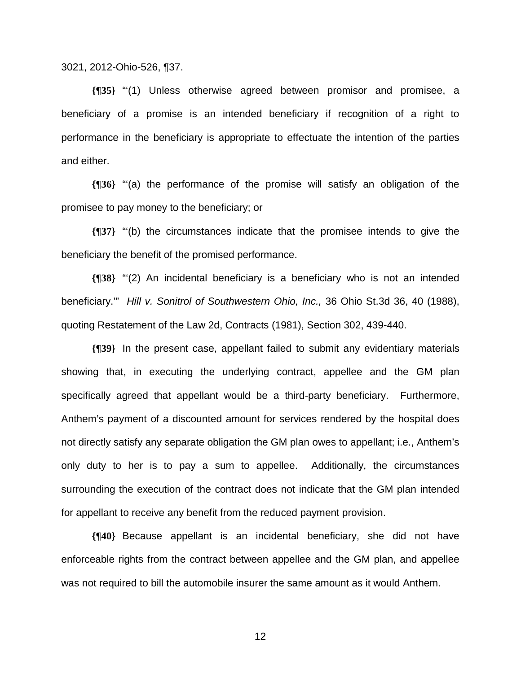3021, 2012-Ohio-526, ¶37.

**{¶35}** "'(1) Unless otherwise agreed between promisor and promisee, a beneficiary of a promise is an intended beneficiary if recognition of a right to performance in the beneficiary is appropriate to effectuate the intention of the parties and either.

**{¶36}** "'(a) the performance of the promise will satisfy an obligation of the promisee to pay money to the beneficiary; or

**{¶37}** "'(b) the circumstances indicate that the promisee intends to give the beneficiary the benefit of the promised performance.

**{¶38}** "'(2) An incidental beneficiary is a beneficiary who is not an intended beneficiary.'" *Hill v. Sonitrol of Southwestern Ohio, Inc.,* 36 Ohio St.3d 36, 40 (1988), quoting Restatement of the Law 2d, Contracts (1981), Section 302, 439-440.

**{¶39}** In the present case, appellant failed to submit any evidentiary materials showing that, in executing the underlying contract, appellee and the GM plan specifically agreed that appellant would be a third-party beneficiary. Furthermore, Anthem's payment of a discounted amount for services rendered by the hospital does not directly satisfy any separate obligation the GM plan owes to appellant; i.e., Anthem's only duty to her is to pay a sum to appellee. Additionally, the circumstances surrounding the execution of the contract does not indicate that the GM plan intended for appellant to receive any benefit from the reduced payment provision.

**{¶40}** Because appellant is an incidental beneficiary, she did not have enforceable rights from the contract between appellee and the GM plan, and appellee was not required to bill the automobile insurer the same amount as it would Anthem.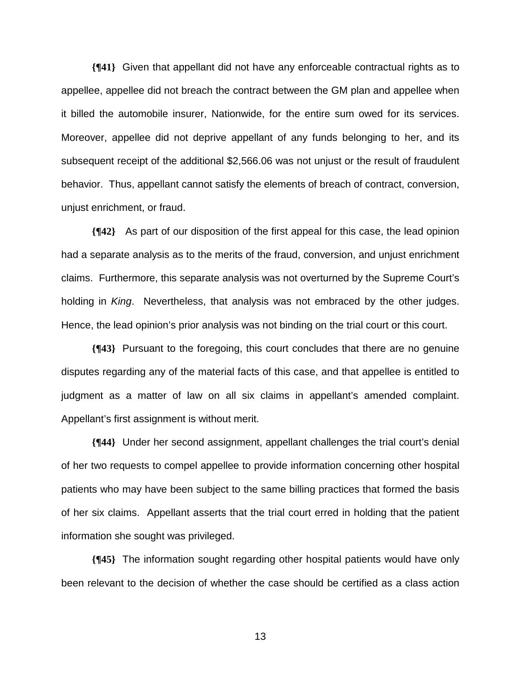**{¶41}** Given that appellant did not have any enforceable contractual rights as to appellee, appellee did not breach the contract between the GM plan and appellee when it billed the automobile insurer, Nationwide, for the entire sum owed for its services. Moreover, appellee did not deprive appellant of any funds belonging to her, and its subsequent receipt of the additional \$2,566.06 was not unjust or the result of fraudulent behavior. Thus, appellant cannot satisfy the elements of breach of contract, conversion, unjust enrichment, or fraud.

**{¶42}** As part of our disposition of the first appeal for this case, the lead opinion had a separate analysis as to the merits of the fraud, conversion, and unjust enrichment claims. Furthermore, this separate analysis was not overturned by the Supreme Court's holding in *King*. Nevertheless, that analysis was not embraced by the other judges. Hence, the lead opinion's prior analysis was not binding on the trial court or this court.

**{¶43}** Pursuant to the foregoing, this court concludes that there are no genuine disputes regarding any of the material facts of this case, and that appellee is entitled to judgment as a matter of law on all six claims in appellant's amended complaint. Appellant's first assignment is without merit.

**{¶44}** Under her second assignment, appellant challenges the trial court's denial of her two requests to compel appellee to provide information concerning other hospital patients who may have been subject to the same billing practices that formed the basis of her six claims. Appellant asserts that the trial court erred in holding that the patient information she sought was privileged.

**{¶45}** The information sought regarding other hospital patients would have only been relevant to the decision of whether the case should be certified as a class action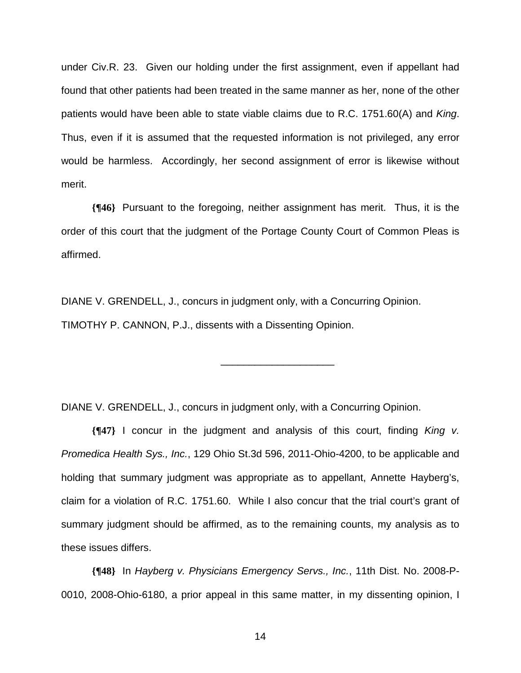under Civ.R. 23. Given our holding under the first assignment, even if appellant had found that other patients had been treated in the same manner as her, none of the other patients would have been able to state viable claims due to R.C. 1751.60(A) and *King*. Thus, even if it is assumed that the requested information is not privileged, any error would be harmless. Accordingly, her second assignment of error is likewise without merit.

**{¶46}** Pursuant to the foregoing, neither assignment has merit. Thus, it is the order of this court that the judgment of the Portage County Court of Common Pleas is affirmed.

\_\_\_\_\_\_\_\_\_\_\_\_\_\_\_\_\_\_\_\_

DIANE V. GRENDELL, J., concurs in judgment only, with a Concurring Opinion. TIMOTHY P. CANNON, P.J., dissents with a Dissenting Opinion.

DIANE V. GRENDELL, J., concurs in judgment only, with a Concurring Opinion.

**{¶47}** I concur in the judgment and analysis of this court, finding *King v. Promedica Health Sys., Inc.*, 129 Ohio St.3d 596, 2011-Ohio-4200, to be applicable and holding that summary judgment was appropriate as to appellant, Annette Hayberg's, claim for a violation of R.C. 1751.60. While I also concur that the trial court's grant of summary judgment should be affirmed, as to the remaining counts, my analysis as to these issues differs.

**{¶48}** In *Hayberg v. Physicians Emergency Servs., Inc.*, 11th Dist. No. 2008-P-0010, 2008-Ohio-6180, a prior appeal in this same matter, in my dissenting opinion, I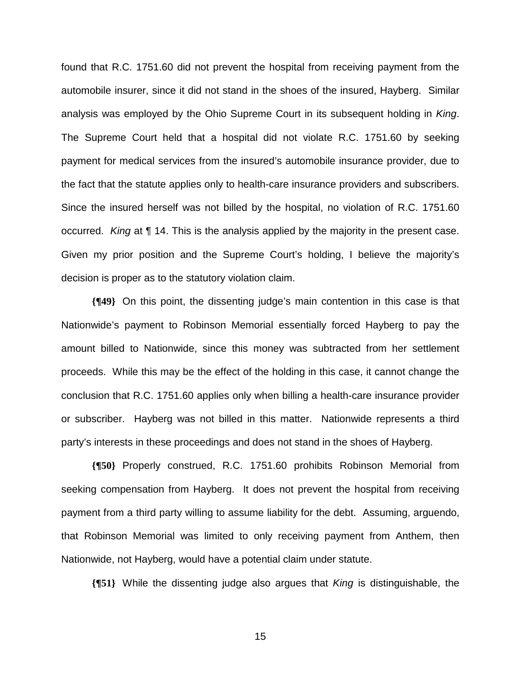found that R.C. 1751.60 did not prevent the hospital from receiving payment from the automobile insurer, since it did not stand in the shoes of the insured, Hayberg. Similar analysis was employed by the Ohio Supreme Court in its subsequent holding in *King*. The Supreme Court held that a hospital did not violate R.C. 1751.60 by seeking payment for medical services from the insured's automobile insurance provider, due to the fact that the statute applies only to health-care insurance providers and subscribers. Since the insured herself was not billed by the hospital, no violation of R.C. 1751.60 occurred. *King* at ¶ 14. This is the analysis applied by the majority in the present case. Given my prior position and the Supreme Court's holding, I believe the majority's decision is proper as to the statutory violation claim.

**{¶49}** On this point, the dissenting judge's main contention in this case is that Nationwide's payment to Robinson Memorial essentially forced Hayberg to pay the amount billed to Nationwide, since this money was subtracted from her settlement proceeds. While this may be the effect of the holding in this case, it cannot change the conclusion that R.C. 1751.60 applies only when billing a health-care insurance provider or subscriber. Hayberg was not billed in this matter. Nationwide represents a third party's interests in these proceedings and does not stand in the shoes of Hayberg.

**{¶50}** Properly construed, R.C. 1751.60 prohibits Robinson Memorial from seeking compensation from Hayberg. It does not prevent the hospital from receiving payment from a third party willing to assume liability for the debt. Assuming, arguendo, that Robinson Memorial was limited to only receiving payment from Anthem, then Nationwide, not Hayberg, would have a potential claim under statute.

**{¶51}** While the dissenting judge also argues that *King* is distinguishable, the

<u>15 and 2011 and 2012 and 2013 and 2014 and 2014 and 2014 and 2014 and 2014 and 2014 and 2014 and 2014 and 201</u>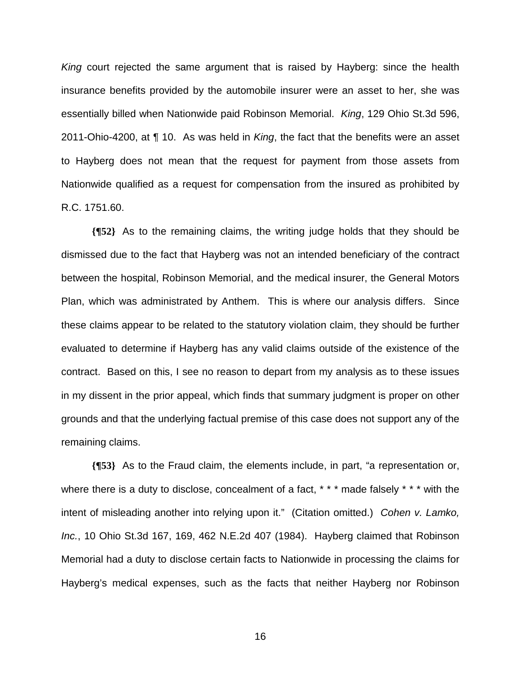*King* court rejected the same argument that is raised by Hayberg: since the health insurance benefits provided by the automobile insurer were an asset to her, she was essentially billed when Nationwide paid Robinson Memorial. *King*, 129 Ohio St.3d 596, 2011-Ohio-4200, at ¶ 10. As was held in *King*, the fact that the benefits were an asset to Hayberg does not mean that the request for payment from those assets from Nationwide qualified as a request for compensation from the insured as prohibited by R.C. 1751.60.

**{¶52}** As to the remaining claims, the writing judge holds that they should be dismissed due to the fact that Hayberg was not an intended beneficiary of the contract between the hospital, Robinson Memorial, and the medical insurer, the General Motors Plan, which was administrated by Anthem. This is where our analysis differs. Since these claims appear to be related to the statutory violation claim, they should be further evaluated to determine if Hayberg has any valid claims outside of the existence of the contract. Based on this, I see no reason to depart from my analysis as to these issues in my dissent in the prior appeal, which finds that summary judgment is proper on other grounds and that the underlying factual premise of this case does not support any of the remaining claims.

**{¶53}** As to the Fraud claim, the elements include, in part, "a representation or, where there is a duty to disclose, concealment of a fact, \* \* \* made falsely \* \* \* with the intent of misleading another into relying upon it." (Citation omitted.) *Cohen v. Lamko, Inc.*, 10 Ohio St.3d 167, 169, 462 N.E.2d 407 (1984). Hayberg claimed that Robinson Memorial had a duty to disclose certain facts to Nationwide in processing the claims for Hayberg's medical expenses, such as the facts that neither Hayberg nor Robinson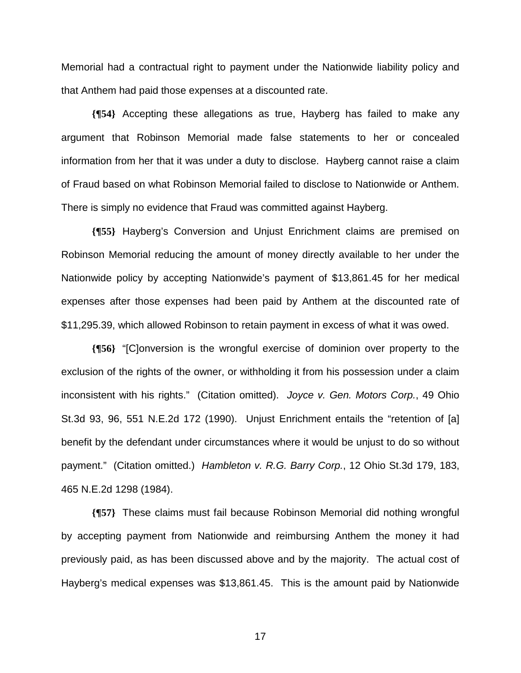Memorial had a contractual right to payment under the Nationwide liability policy and that Anthem had paid those expenses at a discounted rate.

**{¶54}** Accepting these allegations as true, Hayberg has failed to make any argument that Robinson Memorial made false statements to her or concealed information from her that it was under a duty to disclose. Hayberg cannot raise a claim of Fraud based on what Robinson Memorial failed to disclose to Nationwide or Anthem. There is simply no evidence that Fraud was committed against Hayberg.

**{¶55}** Hayberg's Conversion and Unjust Enrichment claims are premised on Robinson Memorial reducing the amount of money directly available to her under the Nationwide policy by accepting Nationwide's payment of \$13,861.45 for her medical expenses after those expenses had been paid by Anthem at the discounted rate of \$11,295.39, which allowed Robinson to retain payment in excess of what it was owed.

**{¶56}** "[C]onversion is the wrongful exercise of dominion over property to the exclusion of the rights of the owner, or withholding it from his possession under a claim inconsistent with his rights." (Citation omitted). *Joyce v. Gen. Motors Corp.*, 49 Ohio St.3d 93, 96, 551 N.E.2d 172 (1990). Unjust Enrichment entails the "retention of [a] benefit by the defendant under circumstances where it would be unjust to do so without payment." (Citation omitted.) *Hambleton v. R.G. Barry Corp.*, 12 Ohio St.3d 179, 183, 465 N.E.2d 1298 (1984).

**{¶57}** These claims must fail because Robinson Memorial did nothing wrongful by accepting payment from Nationwide and reimbursing Anthem the money it had previously paid, as has been discussed above and by the majority. The actual cost of Hayberg's medical expenses was \$13,861.45. This is the amount paid by Nationwide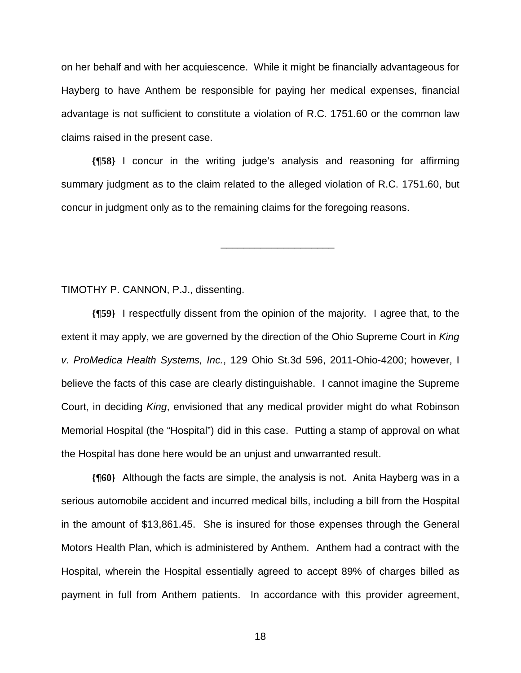on her behalf and with her acquiescence. While it might be financially advantageous for Hayberg to have Anthem be responsible for paying her medical expenses, financial advantage is not sufficient to constitute a violation of R.C. 1751.60 or the common law claims raised in the present case.

**{¶58}** I concur in the writing judge's analysis and reasoning for affirming summary judgment as to the claim related to the alleged violation of R.C. 1751.60, but concur in judgment only as to the remaining claims for the foregoing reasons.

\_\_\_\_\_\_\_\_\_\_\_\_\_\_\_\_\_\_\_\_

TIMOTHY P. CANNON, P.J., dissenting.

**{¶59}** I respectfully dissent from the opinion of the majority. I agree that, to the extent it may apply, we are governed by the direction of the Ohio Supreme Court in *King v. ProMedica Health Systems, Inc.*, 129 Ohio St.3d 596, 2011-Ohio-4200; however, I believe the facts of this case are clearly distinguishable. I cannot imagine the Supreme Court, in deciding *King*, envisioned that any medical provider might do what Robinson Memorial Hospital (the "Hospital") did in this case. Putting a stamp of approval on what the Hospital has done here would be an unjust and unwarranted result.

**{¶60}** Although the facts are simple, the analysis is not. Anita Hayberg was in a serious automobile accident and incurred medical bills, including a bill from the Hospital in the amount of \$13,861.45. She is insured for those expenses through the General Motors Health Plan, which is administered by Anthem. Anthem had a contract with the Hospital, wherein the Hospital essentially agreed to accept 89% of charges billed as payment in full from Anthem patients. In accordance with this provider agreement,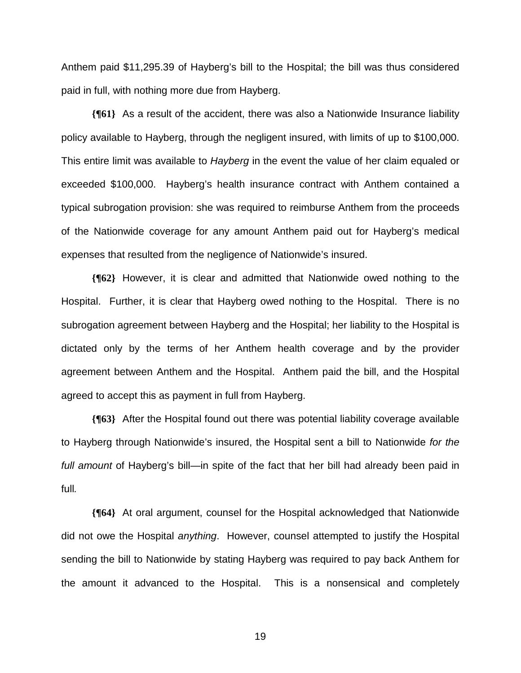Anthem paid \$11,295.39 of Hayberg's bill to the Hospital; the bill was thus considered paid in full, with nothing more due from Hayberg.

**{¶61}** As a result of the accident, there was also a Nationwide Insurance liability policy available to Hayberg, through the negligent insured, with limits of up to \$100,000. This entire limit was available to *Hayberg* in the event the value of her claim equaled or exceeded \$100,000. Hayberg's health insurance contract with Anthem contained a typical subrogation provision: she was required to reimburse Anthem from the proceeds of the Nationwide coverage for any amount Anthem paid out for Hayberg's medical expenses that resulted from the negligence of Nationwide's insured.

**{¶62}** However, it is clear and admitted that Nationwide owed nothing to the Hospital. Further, it is clear that Hayberg owed nothing to the Hospital. There is no subrogation agreement between Hayberg and the Hospital; her liability to the Hospital is dictated only by the terms of her Anthem health coverage and by the provider agreement between Anthem and the Hospital. Anthem paid the bill, and the Hospital agreed to accept this as payment in full from Hayberg.

**{¶63}** After the Hospital found out there was potential liability coverage available to Hayberg through Nationwide's insured, the Hospital sent a bill to Nationwide *for the full amount* of Hayberg's bill—in spite of the fact that her bill had already been paid in full*.* 

**{¶64}** At oral argument, counsel for the Hospital acknowledged that Nationwide did not owe the Hospital *anything*. However, counsel attempted to justify the Hospital sending the bill to Nationwide by stating Hayberg was required to pay back Anthem for the amount it advanced to the Hospital. This is a nonsensical and completely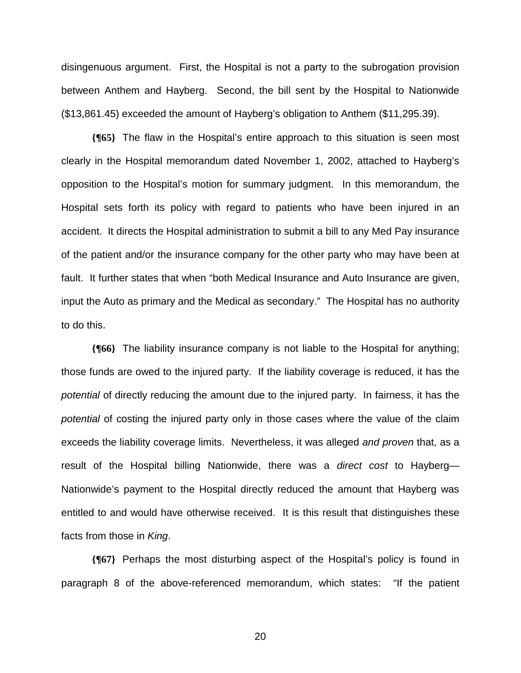disingenuous argument. First, the Hospital is not a party to the subrogation provision between Anthem and Hayberg. Second, the bill sent by the Hospital to Nationwide (\$13,861.45) exceeded the amount of Hayberg's obligation to Anthem (\$11,295.39).

**{¶65}** The flaw in the Hospital's entire approach to this situation is seen most clearly in the Hospital memorandum dated November 1, 2002, attached to Hayberg's opposition to the Hospital's motion for summary judgment. In this memorandum, the Hospital sets forth its policy with regard to patients who have been injured in an accident. It directs the Hospital administration to submit a bill to any Med Pay insurance of the patient and/or the insurance company for the other party who may have been at fault. It further states that when "both Medical Insurance and Auto Insurance are given, input the Auto as primary and the Medical as secondary." The Hospital has no authority to do this.

**{¶66}** The liability insurance company is not liable to the Hospital for anything; those funds are owed to the injured party. If the liability coverage is reduced, it has the *potential* of directly reducing the amount due to the injured party. In fairness, it has the *potential* of costing the injured party only in those cases where the value of the claim exceeds the liability coverage limits. Nevertheless, it was alleged *and proven* that, as a result of the Hospital billing Nationwide, there was a *direct cost* to Hayberg— Nationwide's payment to the Hospital directly reduced the amount that Hayberg was entitled to and would have otherwise received. It is this result that distinguishes these facts from those in *King*.

**{¶67}** Perhaps the most disturbing aspect of the Hospital's policy is found in paragraph 8 of the above-referenced memorandum, which states: "If the patient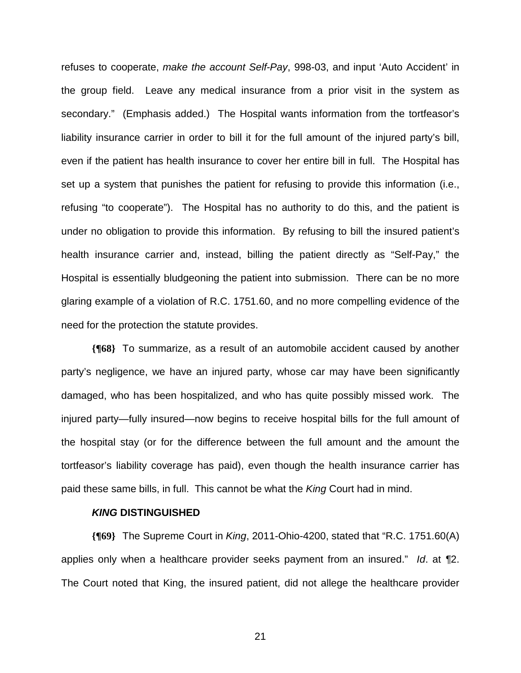refuses to cooperate, *make the account Self-Pay*, 998-03, and input 'Auto Accident' in the group field.Leave any medical insurance from a prior visit in the system as secondary." (Emphasis added.) The Hospital wants information from the tortfeasor's liability insurance carrier in order to bill it for the full amount of the injured party's bill, even if the patient has health insurance to cover her entire bill in full. The Hospital has set up a system that punishes the patient for refusing to provide this information (i.e., refusing "to cooperate"). The Hospital has no authority to do this, and the patient is under no obligation to provide this information. By refusing to bill the insured patient's health insurance carrier and, instead, billing the patient directly as "Self-Pay," the Hospital is essentially bludgeoning the patient into submission. There can be no more glaring example of a violation of R.C. 1751.60, and no more compelling evidence of the need for the protection the statute provides.

**{¶68}** To summarize, as a result of an automobile accident caused by another party's negligence, we have an injured party, whose car may have been significantly damaged, who has been hospitalized, and who has quite possibly missed work. The injured party—fully insured—now begins to receive hospital bills for the full amount of the hospital stay (or for the difference between the full amount and the amount the tortfeasor's liability coverage has paid), even though the health insurance carrier has paid these same bills, in full. This cannot be what the *King* Court had in mind.

#### *KING* **DISTINGUISHED**

**{¶69}** The Supreme Court in *King*, 2011-Ohio-4200, stated that "R.C. 1751.60(A) applies only when a healthcare provider seeks payment from an insured." *Id*. at *¶*2. The Court noted that King, the insured patient, did not allege the healthcare provider

<u>21 and 21</u>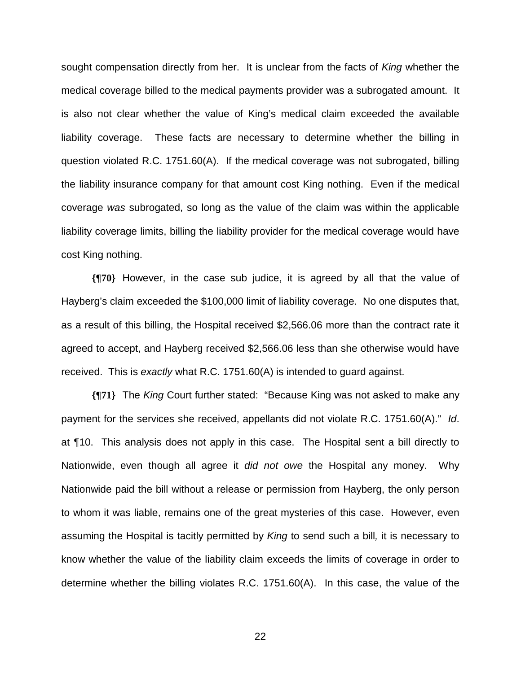sought compensation directly from her. It is unclear from the facts of *King* whether the medical coverage billed to the medical payments provider was a subrogated amount. It is also not clear whether the value of King's medical claim exceeded the available liability coverage. These facts are necessary to determine whether the billing in question violated R.C. 1751.60(A). If the medical coverage was not subrogated, billing the liability insurance company for that amount cost King nothing. Even if the medical coverage *was* subrogated, so long as the value of the claim was within the applicable liability coverage limits, billing the liability provider for the medical coverage would have cost King nothing.

**{¶70}** However, in the case sub judice, it is agreed by all that the value of Hayberg's claim exceeded the \$100,000 limit of liability coverage. No one disputes that, as a result of this billing, the Hospital received \$2,566.06 more than the contract rate it agreed to accept, and Hayberg received \$2,566.06 less than she otherwise would have received. This is *exactly* what R.C. 1751.60(A) is intended to guard against.

**{¶71}** The *King* Court further stated: "Because King was not asked to make any payment for the services she received, appellants did not violate R.C. 1751.60(A)." *Id*. at ¶10. This analysis does not apply in this case. The Hospital sent a bill directly to Nationwide, even though all agree it *did not owe* the Hospital any money. Why Nationwide paid the bill without a release or permission from Hayberg, the only person to whom it was liable, remains one of the great mysteries of this case. However, even assuming the Hospital is tacitly permitted by *King* to send such a bill*,* it is necessary to know whether the value of the liability claim exceeds the limits of coverage in order to determine whether the billing violates R.C. 1751.60(A). In this case, the value of the

<u>22 and 23 and 23 and 23 and 23 and 23 and 23 and 23 and 23 and 23 and 23 and 23 and 23 and 23 and 23 and 23 a</u>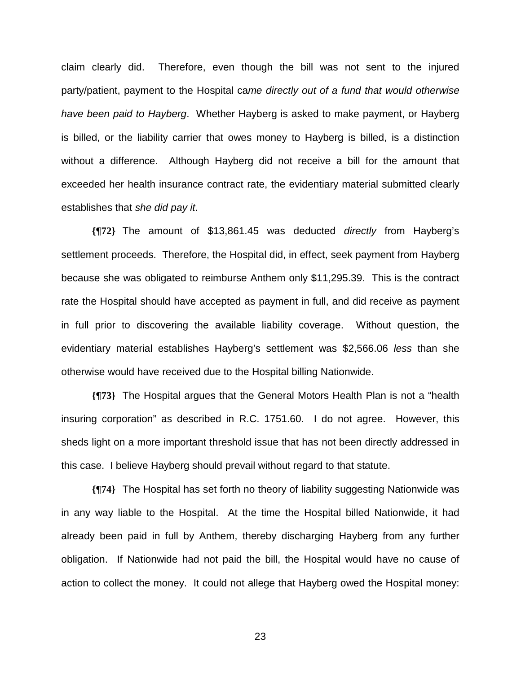claim clearly did. Therefore, even though the bill was not sent to the injured party/patient, payment to the Hospital ca*me directly out of a fund that would otherwise have been paid to Hayberg*.Whether Hayberg is asked to make payment, or Hayberg is billed, or the liability carrier that owes money to Hayberg is billed, is a distinction without a difference. Although Hayberg did not receive a bill for the amount that exceeded her health insurance contract rate, the evidentiary material submitted clearly establishes that *she did pay it*.

**{¶72}** The amount of \$13,861.45 was deducted *directly* from Hayberg's settlement proceeds. Therefore, the Hospital did, in effect, seek payment from Hayberg because she was obligated to reimburse Anthem only \$11,295.39. This is the contract rate the Hospital should have accepted as payment in full, and did receive as payment in full prior to discovering the available liability coverage. Without question, the evidentiary material establishes Hayberg's settlement was \$2,566.06 *less* than she otherwise would have received due to the Hospital billing Nationwide.

**{¶73}** The Hospital argues that the General Motors Health Plan is not a "health insuring corporation" as described in R.C. 1751.60. I do not agree. However, this sheds light on a more important threshold issue that has not been directly addressed in this case. I believe Hayberg should prevail without regard to that statute.

**{¶74}** The Hospital has set forth no theory of liability suggesting Nationwide was in any way liable to the Hospital. At the time the Hospital billed Nationwide, it had already been paid in full by Anthem, thereby discharging Hayberg from any further obligation. If Nationwide had not paid the bill, the Hospital would have no cause of action to collect the money. It could not allege that Hayberg owed the Hospital money:

<u>23 and 23 and 23 and 23 and 23 and 23 and 23 and 23 and 23 and 23 and 23 and 23 and 23 and 23 and 23 and 23 and 23 and 23 and 23 and 23 and 23 and 23 and 23 and 23 and 23 and 23 and 23 and 23 and 23 and 23 and 23 and 23 a</u>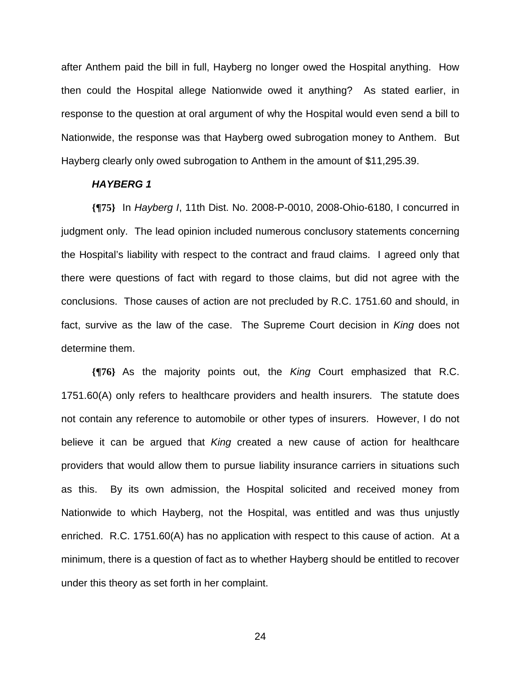after Anthem paid the bill in full, Hayberg no longer owed the Hospital anything. How then could the Hospital allege Nationwide owed it anything? As stated earlier, in response to the question at oral argument of why the Hospital would even send a bill to Nationwide, the response was that Hayberg owed subrogation money to Anthem. But Hayberg clearly only owed subrogation to Anthem in the amount of \$11,295.39.

#### *HAYBERG 1*

**{¶75}** In *Hayberg I*, 11th Dist. No. 2008-P-0010, 2008-Ohio-6180, I concurred in judgment only. The lead opinion included numerous conclusory statements concerning the Hospital's liability with respect to the contract and fraud claims. I agreed only that there were questions of fact with regard to those claims, but did not agree with the conclusions. Those causes of action are not precluded by R.C. 1751.60 and should, in fact, survive as the law of the case. The Supreme Court decision in *King* does not determine them.

**{¶76}** As the majority points out, the *King* Court emphasized that R.C. 1751.60(A) only refers to healthcare providers and health insurers. The statute does not contain any reference to automobile or other types of insurers. However, I do not believe it can be argued that *King* created a new cause of action for healthcare providers that would allow them to pursue liability insurance carriers in situations such as this. By its own admission, the Hospital solicited and received money from Nationwide to which Hayberg, not the Hospital, was entitled and was thus unjustly enriched. R.C. 1751.60(A) has no application with respect to this cause of action. At a minimum, there is a question of fact as to whether Hayberg should be entitled to recover under this theory as set forth in her complaint.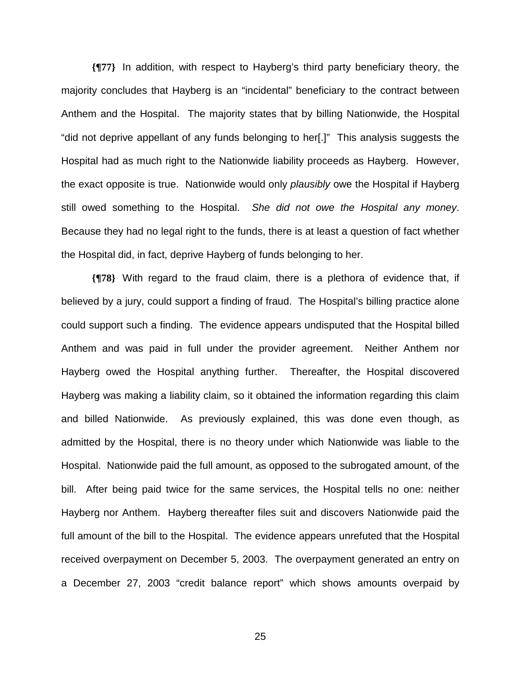**{¶77}** In addition, with respect to Hayberg's third party beneficiary theory, the majority concludes that Hayberg is an "incidental" beneficiary to the contract between Anthem and the Hospital. The majority states that by billing Nationwide, the Hospital "did not deprive appellant of any funds belonging to her[.]" This analysis suggests the Hospital had as much right to the Nationwide liability proceeds as Hayberg. However, the exact opposite is true. Nationwide would only *plausibly* owe the Hospital if Hayberg still owed something to the Hospital. *She did not owe the Hospital any money*. Because they had no legal right to the funds, there is at least a question of fact whether the Hospital did, in fact, deprive Hayberg of funds belonging to her.

**{¶78}** With regard to the fraud claim, there is a plethora of evidence that, if believed by a jury, could support a finding of fraud. The Hospital's billing practice alone could support such a finding. The evidence appears undisputed that the Hospital billed Anthem and was paid in full under the provider agreement. Neither Anthem nor Hayberg owed the Hospital anything further. Thereafter, the Hospital discovered Hayberg was making a liability claim, so it obtained the information regarding this claim and billed Nationwide. As previously explained, this was done even though, as admitted by the Hospital, there is no theory under which Nationwide was liable to the Hospital. Nationwide paid the full amount, as opposed to the subrogated amount, of the bill. After being paid twice for the same services, the Hospital tells no one: neither Hayberg nor Anthem. Hayberg thereafter files suit and discovers Nationwide paid the full amount of the bill to the Hospital. The evidence appears unrefuted that the Hospital received overpayment on December 5, 2003. The overpayment generated an entry on a December 27, 2003 "credit balance report" which shows amounts overpaid by

<u>25 and 25 and 26 and 26 and 26 and 26 and 26 and 26 and 26 and 26 and 26 and 26 and 26 and 26 and 26 and 26 and 26 and 26 and 26 and 26 and 26 and 26 and 26 and 26 and 26 and 27 and 27 and 27 and 27 and 27 and 27 and 27 a</u>